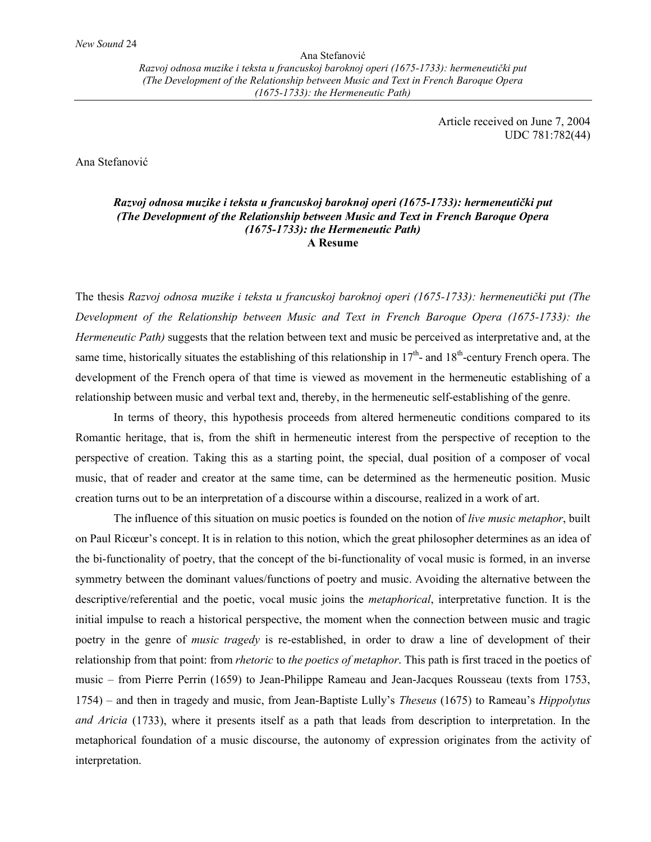Ana Stefanović *Razvoj odnosa muzike i teksta u francuskoj baroknoj operi (1675-1733): hermeneutički put (The Development of the Relationship between Music and Text in French Baroque Opera (1675-1733): the Hermeneutic Path)*

> Article received on June 7, 2004 UDC 781:782(44)

Ana Stefanović

## *Razvoj odnosa muzike i teksta u francuskoj baroknoj operi (1675-1733): hermeneutički put (The Development of the Relationship between Music and Text in French Baroque Opera (1675-1733): the Hermeneutic Path)*  **A Resume**

The thesis *Razvoj odnosa muzike i teksta u francuskoj baroknoj operi (1675-1733): hermeneutički put (The Development of the Relationship between Music and Text in French Baroque Opera (1675-1733): the Hermeneutic Path*) suggests that the relation between text and music be perceived as interpretative and, at the same time, historically situates the establishing of this relationship in  $17<sup>th</sup>$ - and  $18<sup>th</sup>$ -century French opera. The development of the French opera of that time is viewed as movement in the hermeneutic establishing of a relationship between music and verbal text and, thereby, in the hermeneutic self-establishing of the genre.

In terms of theory, this hypothesis proceeds from altered hermeneutic conditions compared to its Romantic heritage, that is, from the shift in hermeneutic interest from the perspective of reception to the perspective of creation. Taking this as a starting point, the special, dual position of a composer of vocal music, that of reader and creator at the same time, can be determined as the hermeneutic position. Music creation turns out to be an interpretation of a discourse within a discourse, realized in a work of art.

The influence of this situation on music poetics is founded on the notion of *live music metaphor*, built on Paul Ricœur's concept. It is in relation to this notion, which the great philosopher determines as an idea of the bi-functionality of poetry, that the concept of the bi-functionality of vocal music is formed, in an inverse symmetry between the dominant values/functions of poetry and music. Avoiding the alternative between the descriptive/referential and the poetic, vocal music joins the *metaphorical*, interpretative function. It is the initial impulse to reach a historical perspective, the moment when the connection between music and tragic poetry in the genre of *music tragedy* is re-established, in order to draw a line of development of their relationship from that point: from *rhetoric* to *the poetics of metaphor*. This path is first traced in the poetics of music – from Pierre Perrin (1659) to Jean-Philippe Rameau and Jean-Jacques Rousseau (texts from 1753, 1754) – and then in tragedy and music, from Jean-Baptiste Lully's *Theseus* (1675) to Rameau's *Hippolytus and Aricia* (1733), where it presents itself as a path that leads from description to interpretation. In the metaphorical foundation of a music discourse, the autonomy of expression originates from the activity of interpretation.